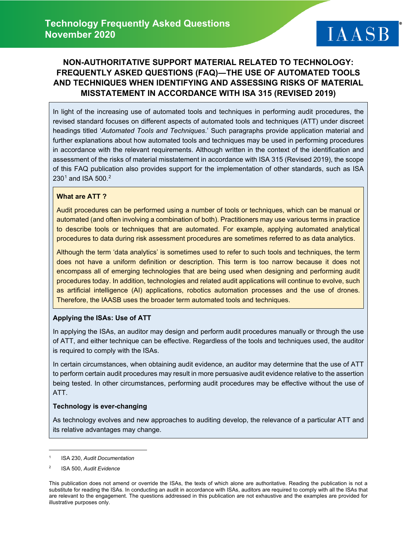# **NON-AUTHORITATIVE SUPPORT MATERIAL RELATED TO TECHNOLOGY: FREQUENTLY ASKED QUESTIONS (FAQ)―THE USE OF AUTOMATED TOOLS AND TECHNIQUES WHEN IDENTIFYING AND ASSESSING RISKS OF MATERIAL MISSTATEMENT IN ACCORDANCE WITH ISA 315 (REVISED 2019)**

In light of the increasing use of automated tools and techniques in performing audit procedures, the revised standard focuses on different aspects of automated tools and techniques (ATT) under discreet headings titled '*Automated Tools and Techniques*.' Such paragraphs provide application material and further explanations about how automated tools and techniques may be used in performing procedures in accordance with the relevant requirements. Although written in the context of the identification and assessment of the risks of material misstatement in accordance with ISA 315 (Revised 2019), the scope of this FAQ publication also provides support for the implementation of other standards, such as ISA  $230<sup>1</sup>$  $230<sup>1</sup>$  $230<sup>1</sup>$  and ISA 500.<sup>[2](#page-0-1)</sup>

### **What are ATT ?**

Audit procedures can be performed using a number of tools or techniques, which can be manual or automated (and often involving a combination of both). Practitioners may use various terms in practice to describe tools or techniques that are automated. For example, applying automated analytical procedures to data during risk assessment procedures are sometimes referred to as data analytics.

Although the term 'data analytics' is sometimes used to refer to such tools and techniques, the term does not have a uniform definition or description. This term is too narrow because it does not encompass all of emerging technologies that are being used when designing and performing audit procedures today. In addition, technologies and related audit applications will continue to evolve, such as artificial intelligence (AI) applications, robotics automation processes and the use of drones. Therefore, the IAASB uses the broader term automated tools and techniques.

### **Applying the ISAs: Use of ATT**

In applying the ISAs, an auditor may design and perform audit procedures manually or through the use of ATT, and either technique can be effective. Regardless of the tools and techniques used, the auditor is required to comply with the ISAs.

In certain circumstances, when obtaining audit evidence, an auditor may determine that the use of ATT to perform certain audit procedures may result in more persuasive audit evidence relative to the assertion being tested. In other circumstances, performing audit procedures may be effective without the use of ATT.

### **Technology is ever-changing**

As technology evolves and new approaches to auditing develop, the relevance of a particular ATT and its relative advantages may change.

<span id="page-0-0"></span><sup>1</sup> ISA 230, *Audit Documentation*

<span id="page-0-1"></span><sup>2</sup> ISA 500, *Audit Evidence*

This publication does not amend or override the ISAs, the texts of which alone are authoritative. Reading the publication is not a substitute for reading the ISAs. In conducting an audit in accordance with ISAs, auditors are required to comply with all the ISAs that are relevant to the engagement. The questions addressed in this publication are not exhaustive and the examples are provided for illustrative purposes only.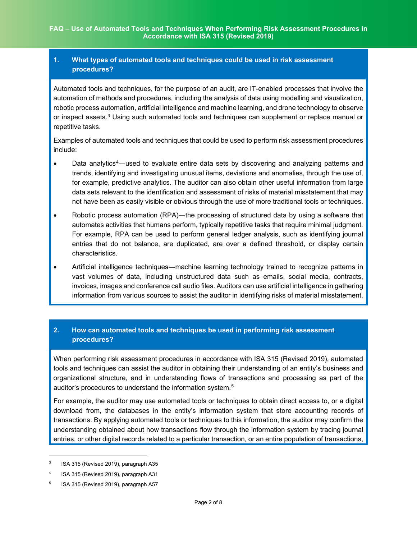### **1. What types of automated tools and techniques could be used in risk assessment procedures?**

Automated tools and techniques, for the purpose of an audit, are IT-enabled processes that involve the automation of methods and procedures, including the analysis of data using modelling and visualization, robotic process automation, artificial intelligence and machine learning, and drone technology to observe or inspect assets.<sup>[3](#page-1-0)</sup> Using such automated tools and techniques can supplement or replace manual or repetitive tasks.

Examples of automated tools and techniques that could be used to perform risk assessment procedures include:

- Data analytics<sup>[4](#page-1-1)</sup>—used to evaluate entire data sets by discovering and analyzing patterns and trends, identifying and investigating unusual items, deviations and anomalies, through the use of, for example, predictive analytics. The auditor can also obtain other useful information from large data sets relevant to the identification and assessment of risks of material misstatement that may not have been as easily visible or obvious through the use of more traditional tools or techniques.
- Robotic process automation (RPA)—the processing of structured data by using a software that automates activities that humans perform, typically repetitive tasks that require minimal judgment. For example, RPA can be used to perform general ledger analysis, such as identifying journal entries that do not balance, are duplicated, are over a defined threshold, or display certain characteristics.
- Artificial intelligence techniques―machine learning technology trained to recognize patterns in vast volumes of data, including unstructured data such as emails, social media, contracts, invoices, images and conference call audio files. Auditors can use artificial intelligence in gathering information from various sources to assist the auditor in identifying risks of material misstatement.

## **2. How can automated tools and techniques be used in performing risk assessment procedures?**

When performing risk assessment procedures in accordance with ISA 315 (Revised 2019), automated tools and techniques can assist the auditor in obtaining their understanding of an entity's business and organizational structure, and in understanding flows of transactions and processing as part of the auditor's procedures to understand the information system.<sup>[5](#page-1-2)</sup>

For example, the auditor may use automated tools or techniques to obtain direct access to, or a digital download from, the databases in the entity's information system that store accounting records of transactions. By applying automated tools or techniques to this information, the auditor may confirm the understanding obtained about how transactions flow through the information system by tracing journal entries, or other digital records related to a particular transaction, or an entire population of transactions,

<span id="page-1-0"></span><sup>3</sup> ISA 315 (Revised 2019), paragraph A35

<span id="page-1-1"></span><sup>4</sup> ISA 315 (Revised 2019), paragraph A31

<span id="page-1-2"></span><sup>5</sup> ISA 315 (Revised 2019), paragraph A57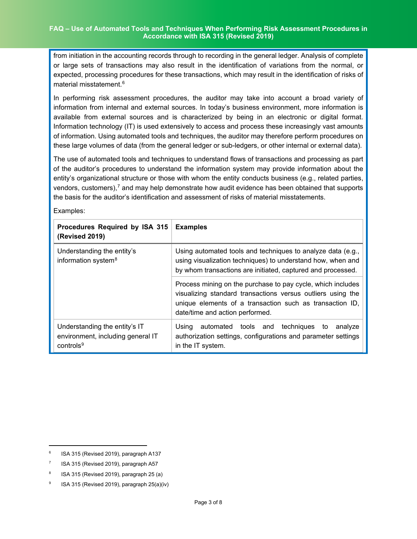from initiation in the accounting records through to recording in the general ledger. Analysis of complete or large sets of transactions may also result in the identification of variations from the normal, or expected, processing procedures for these transactions, which may result in the identification of risks of material misstatement.[6](#page-2-0)

In performing risk assessment procedures, the auditor may take into account a broad variety of information from internal and external sources. In today's business environment, more information is available from external sources and is characterized by being in an electronic or digital format. Information technology (IT) is used extensively to access and process these increasingly vast amounts of information. Using automated tools and techniques, the auditor may therefore perform procedures on these large volumes of data (from the general ledger or sub-ledgers, or other internal or external data).

The use of automated tools and techniques to understand flows of transactions and processing as part of the auditor's procedures to understand the information system may provide information about the entity's organizational structure or those with whom the entity conducts business (e.g., related parties, vendors, customers), $<sup>7</sup>$  $<sup>7</sup>$  $<sup>7</sup>$  and may help demonstrate how audit evidence has been obtained that supports</sup> the basis for the auditor's identification and assessment of risks of material misstatements.

Examples:

| Procedures Required by ISA 315<br><b>(Revised 2019)</b>                                     | <b>Examples</b>                                                                                                                                                                                                           |
|---------------------------------------------------------------------------------------------|---------------------------------------------------------------------------------------------------------------------------------------------------------------------------------------------------------------------------|
| Understanding the entity's<br>information system <sup>8</sup>                               | Using automated tools and techniques to analyze data (e.g.,<br>using visualization techniques) to understand how, when and<br>by whom transactions are initiated, captured and processed.                                 |
|                                                                                             | Process mining on the purchase to pay cycle, which includes<br>visualizing standard transactions versus outliers using the<br>unique elements of a transaction such as transaction ID,<br>date/time and action performed. |
| Understanding the entity's IT<br>environment, including general IT<br>controls <sup>9</sup> | automated tools and techniques to<br>Using<br>analyze<br>authorization settings, configurations and parameter settings<br>in the IT system.                                                                               |

<span id="page-2-0"></span><sup>6</sup> ISA 315 (Revised 2019), paragraph A137

<span id="page-2-1"></span><sup>&</sup>lt;sup>7</sup> ISA 315 (Revised 2019), paragraph A57

<span id="page-2-2"></span> $8$  ISA 315 (Revised 2019), paragraph 25 (a)

<span id="page-2-3"></span><sup>9</sup> ISA 315 (Revised 2019), paragraph 25(a)(iv)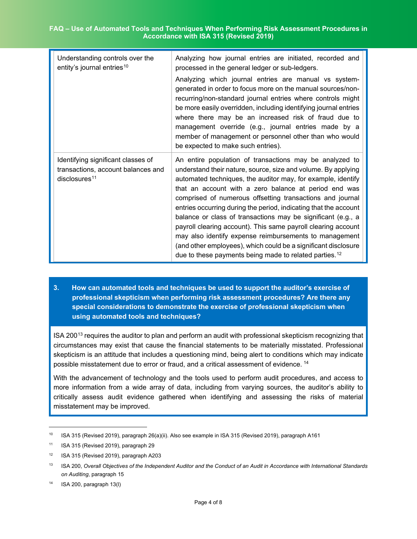#### **FAQ – Use of Automated Tools and Techniques When Performing Risk Assessment Procedures in Accordance with ISA 315 (Revised 2019)**

| Understanding controls over the<br>entity's journal entries <sup>10</sup>                    | Analyzing how journal entries are initiated, recorded and<br>processed in the general ledger or sub-ledgers.<br>Analyzing which journal entries are manual vs system-<br>generated in order to focus more on the manual sources/non-<br>recurring/non-standard journal entries where controls might<br>be more easily overridden, including identifying journal entries<br>where there may be an increased risk of fraud due to<br>management override (e.g., journal entries made by a<br>member of management or personnel other than who would<br>be expected to make such entries).                                                                                                                               |
|----------------------------------------------------------------------------------------------|-----------------------------------------------------------------------------------------------------------------------------------------------------------------------------------------------------------------------------------------------------------------------------------------------------------------------------------------------------------------------------------------------------------------------------------------------------------------------------------------------------------------------------------------------------------------------------------------------------------------------------------------------------------------------------------------------------------------------|
| Identifying significant classes of<br>transactions, account balances and<br>disclosures $11$ | An entire population of transactions may be analyzed to<br>understand their nature, source, size and volume. By applying<br>automated techniques, the auditor may, for example, identify<br>that an account with a zero balance at period end was<br>comprised of numerous offsetting transactions and journal<br>entries occurring during the period, indicating that the account<br>balance or class of transactions may be significant (e.g., a<br>payroll clearing account). This same payroll clearing account<br>may also identify expense reimbursements to management<br>(and other employees), which could be a significant disclosure<br>due to these payments being made to related parties. <sup>12</sup> |

**3. How can automated tools and techniques be used to support the auditor's exercise of professional skepticism when performing risk assessment procedures? Are there any special considerations to demonstrate the exercise of professional skepticism when using automated tools and techniques?**

ISA 200[13](#page-3-3) requires the auditor to plan and perform an audit with professional skepticism recognizing that circumstances may exist that cause the financial statements to be materially misstated. Professional skepticism is an attitude that includes a questioning mind, being alert to conditions which may indicate possible misstatement due to error or fraud, and a critical assessment of evidence. <sup>[14](#page-3-4)</sup>

With the advancement of technology and the tools used to perform audit procedures, and access to more information from a wide array of data, including from varying sources, the auditor's ability to critically assess audit evidence gathered when identifying and assessing the risks of material misstatement may be improved.

<span id="page-3-0"></span><sup>10</sup> ISA 315 (Revised 2019), paragraph 26(a)(ii). Also see example in ISA 315 (Revised 2019), paragraph A161

<span id="page-3-1"></span><sup>11</sup> ISA 315 (Revised 2019), paragraph 29

<span id="page-3-2"></span><sup>12</sup> ISA 315 (Revised 2019), paragraph A203

<span id="page-3-3"></span><sup>13</sup> ISA 200, *Overall Objectives of the Independent Auditor and the Conduct of an Audit in Accordance with International Standards on Auditing*, paragraph 15

<span id="page-3-4"></span> $14$  ISA 200, paragraph 13(I)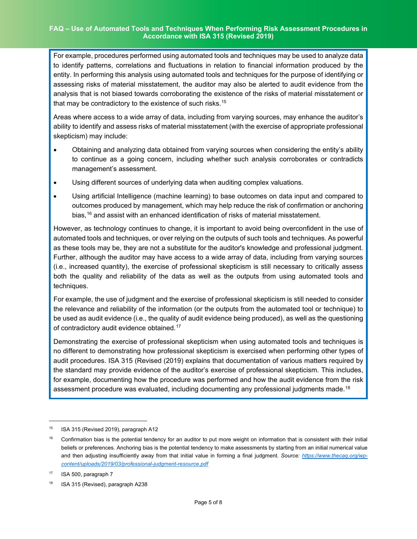For example, procedures performed using automated tools and techniques may be used to analyze data to identify patterns, correlations and fluctuations in relation to financial information produced by the entity. In performing this analysis using automated tools and techniques for the purpose of identifying or assessing risks of material misstatement, the auditor may also be alerted to audit evidence from the analysis that is not biased towards corroborating the existence of the risks of material misstatement or that may be contradictory to the existence of such risks.<sup>[15](#page-4-0)</sup>

Areas where access to a wide array of data, including from varying sources, may enhance the auditor's ability to identify and assess risks of material misstatement (with the exercise of appropriate professional skepticism) may include:

- Obtaining and analyzing data obtained from varying sources when considering the entity's ability to continue as a going concern, including whether such analysis corroborates or contradicts management's assessment.
- Using different sources of underlying data when auditing complex valuations.
- Using artificial Intelligence (machine learning) to base outcomes on data input and compared to outcomes produced by management, which may help reduce the risk of confirmation or anchoring bias, [16](#page-4-1) and assist with an enhanced identification of risks of material misstatement.

However, as technology continues to change, it is important to avoid being overconfident in the use of automated tools and techniques, or over relying on the outputs of such tools and techniques. As powerful as these tools may be, they are not a substitute for the auditor's knowledge and professional judgment. Further, although the auditor may have access to a wide array of data, including from varying sources (i.e., increased quantity), the exercise of professional skepticism is still necessary to critically assess both the quality and reliability of the data as well as the outputs from using automated tools and techniques.

For example, the use of judgment and the exercise of professional skepticism is still needed to consider the relevance and reliability of the information (or the outputs from the automated tool or technique) to be used as audit evidence (i.e., the quality of audit evidence being produced), as well as the questioning of contradictory audit evidence obtained. [17](#page-4-2)

Demonstrating the exercise of professional skepticism when using automated tools and techniques is no different to demonstrating how professional skepticism is exercised when performing other types of audit procedures. ISA 315 (Revised (2019) explains that documentation of various matters required by the standard may provide evidence of the auditor's exercise of professional skepticism. This includes, for example, documenting how the procedure was performed and how the audit evidence from the risk assessment procedure was evaluated, including documenting any professional judgments made.<sup>[18](#page-4-3)</sup>

<span id="page-4-0"></span><sup>&</sup>lt;sup>15</sup> ISA 315 (Revised 2019), paragraph A12

<span id="page-4-1"></span><sup>&</sup>lt;sup>16</sup> Confirmation bias is the potential tendency for an auditor to put more weight on information that is consistent with their initial beliefs or preferences. Anchoring bias is the potential tendency to make assessments by starting from an initial numerical value and then adjusting insufficiently away from that initial value in forming a final judgment. *Source: [https://www.thecaq.org/wp](https://www.thecaq.org/wp-content/uploads/2019/03/professional-judgment-resource.pdf)[content/uploads/2019/03/professional-judgment-resource.pdf](https://www.thecaq.org/wp-content/uploads/2019/03/professional-judgment-resource.pdf)*

<span id="page-4-2"></span><sup>17</sup> ISA 500, paragraph 7

<span id="page-4-3"></span><sup>18</sup> ISA 315 (Revised), paragraph A238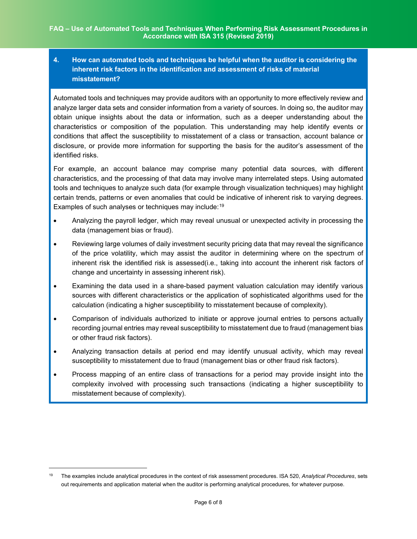### **4. How can automated tools and techniques be helpful when the auditor is considering the inherent risk factors in the identification and assessment of risks of material misstatement?**

Automated tools and techniques may provide auditors with an opportunity to more effectively review and analyze larger data sets and consider information from a variety of sources. In doing so, the auditor may obtain unique insights about the data or information, such as a deeper understanding about the characteristics or composition of the population. This understanding may help identify events or conditions that affect the susceptibility to misstatement of a class or transaction, account balance or disclosure, or provide more information for supporting the basis for the auditor's assessment of the identified risks.

For example, an account balance may comprise many potential data sources, with different characteristics, and the processing of that data may involve many interrelated steps. Using automated tools and techniques to analyze such data (for example through visualization techniques) may highlight certain trends, patterns or even anomalies that could be indicative of inherent risk to varying degrees. Examples of such analyses or techniques may include:<sup>[19](#page-5-0)</sup>

- Analyzing the payroll ledger, which may reveal unusual or unexpected activity in processing the data (management bias or fraud).
- Reviewing large volumes of daily investment security pricing data that may reveal the significance of the price volatility, which may assist the auditor in determining where on the spectrum of inherent risk the identified risk is assessed(i.e., taking into account the inherent risk factors of change and uncertainty in assessing inherent risk).
- Examining the data used in a share-based payment valuation calculation may identify various sources with different characteristics or the application of sophisticated algorithms used for the calculation (indicating a higher susceptibility to misstatement because of complexity).
- Comparison of individuals authorized to initiate or approve journal entries to persons actually recording journal entries may reveal susceptibility to misstatement due to fraud (management bias or other fraud risk factors).
- Analyzing transaction details at period end may identify unusual activity, which may reveal susceptibility to misstatement due to fraud (management bias or other fraud risk factors).
- Process mapping of an entire class of transactions for a period may provide insight into the complexity involved with processing such transactions (indicating a higher susceptibility to misstatement because of complexity).

<span id="page-5-0"></span><sup>19</sup> The examples include analytical procedures in the context of risk assessment procedures. ISA 520, *Analytical Procedures*, sets out requirements and application material when the auditor is performing analytical procedures, for whatever purpose.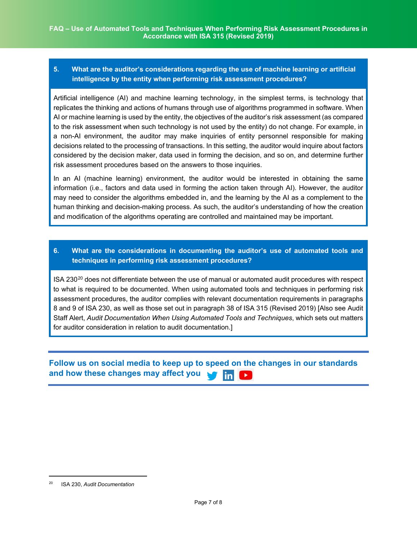### **5. What are the auditor's considerations regarding the use of machine learning or artificial intelligence by the entity when performing risk assessment procedures?**

Artificial intelligence (AI) and machine learning technology, in the simplest terms, is technology that replicates the thinking and actions of humans through use of algorithms programmed in software. When AI or machine learning is used by the entity, the objectives of the auditor's risk assessment (as compared to the risk assessment when such technology is not used by the entity) do not change. For example, in a non-AI environment, the auditor may make inquiries of entity personnel responsible for making decisions related to the processing of transactions. In this setting, the auditor would inquire about factors considered by the decision maker, data used in forming the decision, and so on, and determine further risk assessment procedures based on the answers to those inquiries.

In an AI (machine learning) environment, the auditor would be interested in obtaining the same information (i.e., factors and data used in forming the action taken through AI). However, the auditor may need to consider the algorithms embedded in, and the learning by the AI as a complement to the human thinking and decision-making process. As such, the auditor's understanding of how the creation and modification of the algorithms operating are controlled and maintained may be important.

### **6. What are the considerations in documenting the auditor's use of automated tools and techniques in performing risk assessment procedures?**

ISA  $230^{20}$  $230^{20}$  $230^{20}$  does not differentiate between the use of manual or automated audit procedures with respect to what is required to be documented. When using automated tools and techniques in performing risk assessment procedures, the auditor complies with relevant documentation requirements in paragraphs 8 and 9 of ISA 230, as well as those set out in paragraph 38 of ISA 315 (Revised 2019) [Also see Audit Staff Alert, *Audit Documentation When Using Automated Tools and Techniques*, which sets out matters for auditor consideration in relation to audit documentation.]

#### **Follow us on social media to keep up to speed on the changes in our standards and how these changes may affect you** <u>lin</u>

<span id="page-6-0"></span><sup>20</sup> ISA 230, *Audit Documentation*